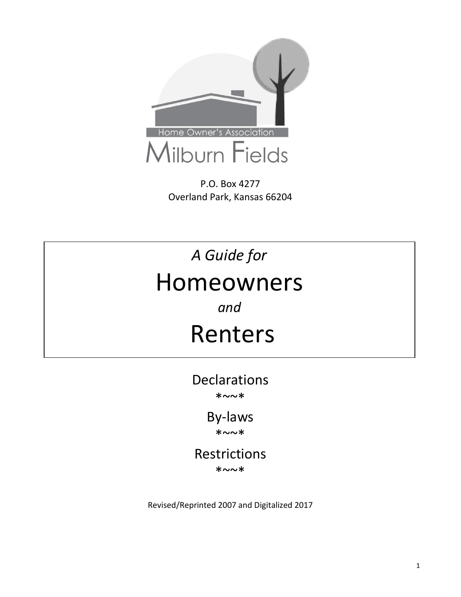

P.O. Box 4277 Overland Park, Kansas 66204

# A Guide for Homeowners

*and*

## Renters

Declarations \*~~\*

> By-laws \*~~\*

Restrictions \*~~\*

Revised/Reprinted 2007 and Digitalized 2017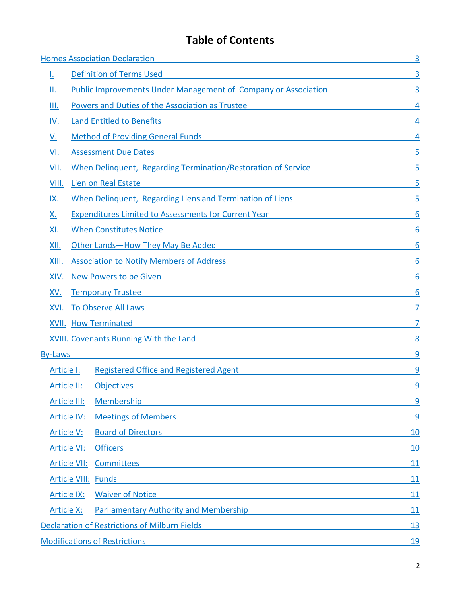## **Table of Contents**

| <b>Homes Association Declaration</b>                 |                                                                                                                                                     |                                                                                                                                                                                                                                |            |  |
|------------------------------------------------------|-----------------------------------------------------------------------------------------------------------------------------------------------------|--------------------------------------------------------------------------------------------------------------------------------------------------------------------------------------------------------------------------------|------------|--|
| <u>l.</u>                                            |                                                                                                                                                     | and the control of the control of the control of the control of the control of the control of<br><b>Definition of Terms Used</b>                                                                                               | 3          |  |
| Ш.                                                   |                                                                                                                                                     | <b>Public Improvements Under Management of Company or Association</b>                                                                                                                                                          |            |  |
| III.                                                 | Powers and Duties of the Association as Trustee                                                                                                     |                                                                                                                                                                                                                                |            |  |
| <u>IV.</u>                                           | <b>Land Entitled to Benefits</b>                                                                                                                    |                                                                                                                                                                                                                                |            |  |
| <u>V.</u>                                            | <b>Method of Providing General Funds</b>                                                                                                            |                                                                                                                                                                                                                                |            |  |
| VI.                                                  | <b>Assessment Due Dates</b><br><u> 1989 - Johann John Stein, marwolaethau (b. 1989)</u>                                                             |                                                                                                                                                                                                                                |            |  |
| VII.                                                 | When Delinquent, Regarding Termination/Restoration of Service                                                                                       |                                                                                                                                                                                                                                |            |  |
| VIII.                                                | <u> 1980 - Johann Barn, amerikansk politiker (</u><br>Lien on Real Estate                                                                           |                                                                                                                                                                                                                                |            |  |
| IX.                                                  |                                                                                                                                                     | When Delinquent, Regarding Liens and Termination of Liens                                                                                                                                                                      |            |  |
| Х.                                                   | <b>Expenditures Limited to Assessments for Current Year</b>                                                                                         |                                                                                                                                                                                                                                |            |  |
| XI.                                                  |                                                                                                                                                     | <b>When Constitutes Notice</b><br><u> 1980 - Jan Samuel Barbara, martin di shekara 1980 - Ang katalog asl na shekara 1980 - Ang katalog asl na shek</u>                                                                        |            |  |
| XII.                                                 |                                                                                                                                                     | Other Lands-How They May Be Added                                                                                                                                                                                              |            |  |
| XIII.                                                |                                                                                                                                                     | <b>Association to Notify Members of Address</b>                                                                                                                                                                                |            |  |
| XIV.                                                 |                                                                                                                                                     | <b>New Powers to be Given</b><br><u> 1989 - Johann Barbara, martxa eta batarra (h. 1989).</u>                                                                                                                                  |            |  |
| XV.                                                  | <b>Temporary Trustee</b>                                                                                                                            |                                                                                                                                                                                                                                |            |  |
| XVI.                                                 | <b>To Observe All Laws</b><br><u> 1980 - Johann Stein, marwolaethau (b. 1980)</u>                                                                   |                                                                                                                                                                                                                                |            |  |
|                                                      | <b>XVII.</b> How Terminated<br><u> 1989 - Johann John Stein, markin film yn y brenin y brenin y brenin y brenin y brenin y brenin y brenin y br</u> |                                                                                                                                                                                                                                |            |  |
|                                                      | <b>XVIII. Covenants Running With the Land</b>                                                                                                       |                                                                                                                                                                                                                                |            |  |
| <b>By-Laws</b>                                       |                                                                                                                                                     |                                                                                                                                                                                                                                | 9          |  |
| Article I:                                           |                                                                                                                                                     | <b>Registered Office and Registered Agent</b>                                                                                                                                                                                  | 9          |  |
| Article II:                                          |                                                                                                                                                     | <b>Objectives</b>                                                                                                                                                                                                              | 9          |  |
|                                                      | Article III:                                                                                                                                        | Membership                                                                                                                                                                                                                     | 9          |  |
|                                                      | <b>Article IV:</b>                                                                                                                                  | Meetings of Members <b>Exercísion</b> Section 2014 12:30 and 2014 12:30 and 2014 12:30 and 2014 12:30 and 2014 12:30                                                                                                           | 9          |  |
| Article V:                                           |                                                                                                                                                     | <b>Board of Directors</b><br><u> 1989 - Johann John Stein, markin film yn y brenin y brenin y brenin y brenin y brenin y brenin y brenin y br</u>                                                                              | 10         |  |
|                                                      | <b>Article VI:</b>                                                                                                                                  | <b>Officers</b><br><u> 1989 - Andrea Stadt Britain, amerikansk politik (* 1958)</u>                                                                                                                                            | 10         |  |
|                                                      | Article VII:                                                                                                                                        | <u>Committees</u>                                                                                                                                                                                                              | 11         |  |
| <b>Article VIII: Funds</b>                           |                                                                                                                                                     | <u> 1980 - Jan Samuel Barbara, martin din shekara ta 1980 - An tsara tsara tsara tsara tsara tsara tsara tsara ts</u>                                                                                                          | 11         |  |
| <b>Article IX:</b>                                   |                                                                                                                                                     | <b>Waiver of Notice</b>                                                                                                                                                                                                        | 11         |  |
| <b>Article X:</b>                                    |                                                                                                                                                     | Parliamentary Authority and Membership example and the state of the state of the state of the state of the state of the state of the state of the state of the state of the state of the state of the state of the state of th | 11         |  |
| <b>Declaration of Restrictions of Milburn Fields</b> |                                                                                                                                                     |                                                                                                                                                                                                                                | <u>13</u>  |  |
|                                                      |                                                                                                                                                     | <b>Modifications of Restrictions</b>                                                                                                                                                                                           | <u> 19</u> |  |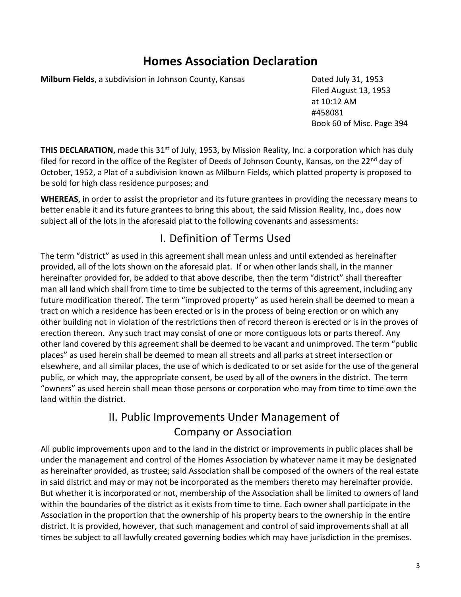## **Homes Association Declaration**

<span id="page-2-0"></span>**Milburn Fields**, a subdivision in Johnson County, Kansas **Dated July 31, 1953** 

Filed August 13, 1953 at 10:12 AM #458081 Book 60 of Misc. Page 394

**THIS DECLARATION**, made this 31<sup>st</sup> of July, 1953, by Mission Reality, Inc. a corporation which has duly filed for record in the office of the Register of Deeds of Johnson County, Kansas, on the 22<sup>nd</sup> day of October, 1952, a Plat of a subdivision known as Milburn Fields, which platted property is proposed to be sold for high class residence purposes; and

**WHEREAS**, in order to assist the proprietor and its future grantees in providing the necessary means to better enable it and its future grantees to bring this about, the said Mission Reality, Inc., does now subject all of the lots in the aforesaid plat to the following covenants and assessments:

#### I. Definition of Terms Used

<span id="page-2-1"></span>The term "district" as used in this agreement shall mean unless and until extended as hereinafter provided, all of the lots shown on the aforesaid plat. If or when other lands shall, in the manner hereinafter provided for, be added to that above describe, then the term "district" shall thereafter man all land which shall from time to time be subjected to the terms of this agreement, including any future modification thereof. The term "improved property" as used herein shall be deemed to mean a tract on which a residence has been erected or is in the process of being erection or on which any other building not in violation of the restrictions then of record thereon is erected or is in the proves of erection thereon. Any such tract may consist of one or more contiguous lots or parts thereof. Any other land covered by this agreement shall be deemed to be vacant and unimproved. The term "public places" as used herein shall be deemed to mean all streets and all parks at street intersection or elsewhere, and all similar places, the use of which is dedicated to or set aside for the use of the general public, or which may, the appropriate consent, be used by all of the owners in the district. The term "owners" as used herein shall mean those persons or corporation who may from time to time own the land within the district.

### II. Public Improvements Under Management of Company or Association

<span id="page-2-2"></span>All public improvements upon and to the land in the district or improvements in public places shall be under the management and control of the Homes Association by whatever name it may be designated as hereinafter provided, as trustee; said Association shall be composed of the owners of the real estate in said district and may or may not be incorporated as the members thereto may hereinafter provide. But whether it is incorporated or not, membership of the Association shall be limited to owners of land within the boundaries of the district as it exists from time to time. Each owner shall participate in the Association in the proportion that the ownership of his property bears to the ownership in the entire district. It is provided, however, that such management and control of said improvements shall at all times be subject to all lawfully created governing bodies which may have jurisdiction in the premises.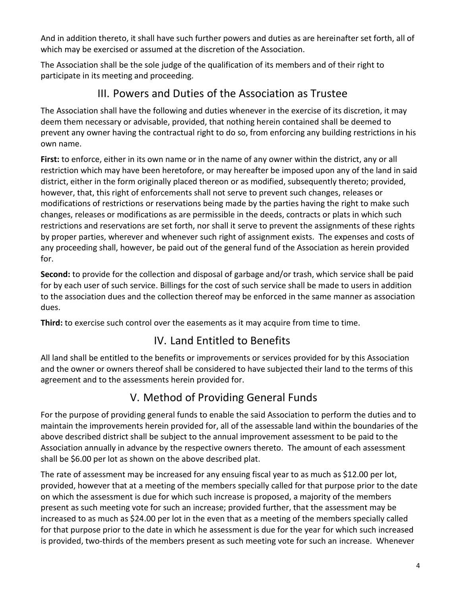And in addition thereto, it shall have such further powers and duties as are hereinafter set forth, all of which may be exercised or assumed at the discretion of the Association.

The Association shall be the sole judge of the qualification of its members and of their right to participate in its meeting and proceeding.

#### III. Powers and Duties of the Association as Trustee

<span id="page-3-0"></span>The Association shall have the following and duties whenever in the exercise of its discretion, it may deem them necessary or advisable, provided, that nothing herein contained shall be deemed to prevent any owner having the contractual right to do so, from enforcing any building restrictions in his own name.

**First:** to enforce, either in its own name or in the name of any owner within the district, any or all restriction which may have been heretofore, or may hereafter be imposed upon any of the land in said district, either in the form originally placed thereon or as modified, subsequently thereto; provided, however, that, this right of enforcements shall not serve to prevent such changes, releases or modifications of restrictions or reservations being made by the parties having the right to make such changes, releases or modifications as are permissible in the deeds, contracts or plats in which such restrictions and reservations are set forth, nor shall it serve to prevent the assignments of these rights by proper parties, wherever and whenever such right of assignment exists. The expenses and costs of any proceeding shall, however, be paid out of the general fund of the Association as herein provided for.

**Second:** to provide for the collection and disposal of garbage and/or trash, which service shall be paid for by each user of such service. Billings for the cost of such service shall be made to users in addition to the association dues and the collection thereof may be enforced in the same manner as association dues.

<span id="page-3-1"></span>**Third:** to exercise such control over the easements as it may acquire from time to time.

## IV. Land Entitled to Benefits

All land shall be entitled to the benefits or improvements or services provided for by this Association and the owner or owners thereof shall be considered to have subjected their land to the terms of this agreement and to the assessments herein provided for.

## V. Method of Providing General Funds

<span id="page-3-2"></span>For the purpose of providing general funds to enable the said Association to perform the duties and to maintain the improvements herein provided for, all of the assessable land within the boundaries of the above described district shall be subject to the annual improvement assessment to be paid to the Association annually in advance by the respective owners thereto. The amount of each assessment shall be \$6.00 per lot as shown on the above described plat.

The rate of assessment may be increased for any ensuing fiscal year to as much as \$12.00 per lot, provided, however that at a meeting of the members specially called for that purpose prior to the date on which the assessment is due for which such increase is proposed, a majority of the members present as such meeting vote for such an increase; provided further, that the assessment may be increased to as much as \$24.00 per lot in the even that as a meeting of the members specially called for that purpose prior to the date in which he assessment is due for the year for which such increased is provided, two-thirds of the members present as such meeting vote for such an increase. Whenever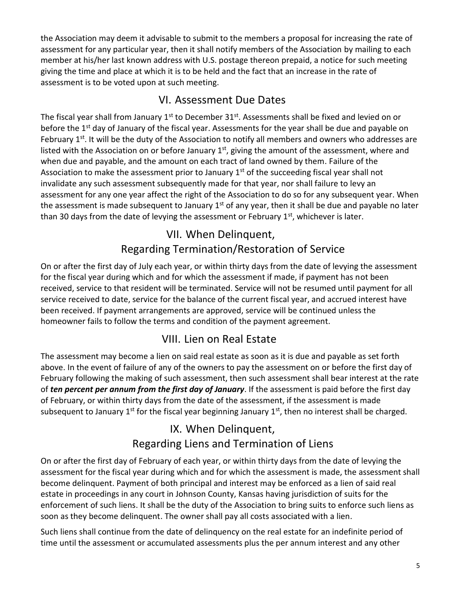the Association may deem it advisable to submit to the members a proposal for increasing the rate of assessment for any particular year, then it shall notify members of the Association by mailing to each member at his/her last known address with U.S. postage thereon prepaid, a notice for such meeting giving the time and place at which it is to be held and the fact that an increase in the rate of assessment is to be voted upon at such meeting.

#### VI. Assessment Due Dates

<span id="page-4-0"></span>The fiscal year shall from January  $1<sup>st</sup>$  to December 31 $<sup>st</sup>$ . Assessments shall be fixed and levied on or</sup> before the 1<sup>st</sup> day of January of the fiscal year. Assessments for the year shall be due and payable on February 1<sup>st</sup>. It will be the duty of the Association to notify all members and owners who addresses are listed with the Association on or before January  $1<sup>st</sup>$ , giving the amount of the assessment, where and when due and payable, and the amount on each tract of land owned by them. Failure of the Association to make the assessment prior to January  $1<sup>st</sup>$  of the succeeding fiscal year shall not invalidate any such assessment subsequently made for that year, nor shall failure to levy an assessment for any one year affect the right of the Association to do so for any subsequent year. When the assessment is made subsequent to January  $1<sup>st</sup>$  of any year, then it shall be due and payable no later than 30 days from the date of levying the assessment or February  $1<sup>st</sup>$ , whichever is later.

## VII. When Delinquent, Regarding Termination/Restoration of Service

<span id="page-4-1"></span>On or after the first day of July each year, or within thirty days from the date of levying the assessment for the fiscal year during which and for which the assessment if made, if payment has not been received, service to that resident will be terminated. Service will not be resumed until payment for all service received to date, service for the balance of the current fiscal year, and accrued interest have been received. If payment arrangements are approved, service will be continued unless the homeowner fails to follow the terms and condition of the payment agreement.

### VIII. Lien on Real Estate

<span id="page-4-2"></span>The assessment may become a lien on said real estate as soon as it is due and payable as set forth above. In the event of failure of any of the owners to pay the assessment on or before the first day of February following the making of such assessment, then such assessment shall bear interest at the rate of *ten percent per annum from the first day of January*. If the assessment is paid before the first day of February, or within thirty days from the date of the assessment, if the assessment is made subsequent to January 1<sup>st</sup> for the fiscal year beginning January 1<sup>st</sup>, then no interest shall be charged.

### IX. When Delinquent, Regarding Liens and Termination of Liens

<span id="page-4-3"></span>On or after the first day of February of each year, or within thirty days from the date of levying the assessment for the fiscal year during which and for which the assessment is made, the assessment shall become delinquent. Payment of both principal and interest may be enforced as a lien of said real estate in proceedings in any court in Johnson County, Kansas having jurisdiction of suits for the enforcement of such liens. It shall be the duty of the Association to bring suits to enforce such liens as soon as they become delinquent. The owner shall pay all costs associated with a lien.

Such liens shall continue from the date of delinquency on the real estate for an indefinite period of time until the assessment or accumulated assessments plus the per annum interest and any other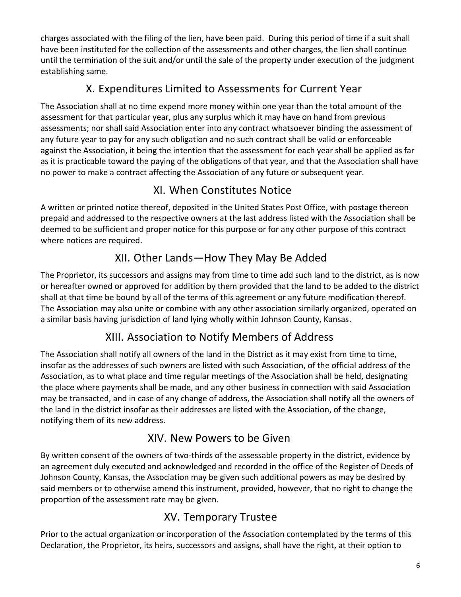charges associated with the filing of the lien, have been paid. During this period of time if a suit shall have been instituted for the collection of the assessments and other charges, the lien shall continue until the termination of the suit and/or until the sale of the property under execution of the judgment establishing same.

### X. Expenditures Limited to Assessments for Current Year

<span id="page-5-0"></span>The Association shall at no time expend more money within one year than the total amount of the assessment for that particular year, plus any surplus which it may have on hand from previous assessments; nor shall said Association enter into any contract whatsoever binding the assessment of any future year to pay for any such obligation and no such contract shall be valid or enforceable against the Association, it being the intention that the assessment for each year shall be applied as far as it is practicable toward the paying of the obligations of that year, and that the Association shall have no power to make a contract affecting the Association of any future or subsequent year.

#### XI. When Constitutes Notice

<span id="page-5-1"></span>A written or printed notice thereof, deposited in the United States Post Office, with postage thereon prepaid and addressed to the respective owners at the last address listed with the Association shall be deemed to be sufficient and proper notice for this purpose or for any other purpose of this contract where notices are required.

### XII. Other Lands—How They May Be Added

<span id="page-5-2"></span>The Proprietor, its successors and assigns may from time to time add such land to the district, as is now or hereafter owned or approved for addition by them provided that the land to be added to the district shall at that time be bound by all of the terms of this agreement or any future modification thereof. The Association may also unite or combine with any other association similarly organized, operated on a similar basis having jurisdiction of land lying wholly within Johnson County, Kansas.

#### XIII. Association to Notify Members of Address

<span id="page-5-3"></span>The Association shall notify all owners of the land in the District as it may exist from time to time, insofar as the addresses of such owners are listed with such Association, of the official address of the Association, as to what place and time regular meetings of the Association shall be held, designating the place where payments shall be made, and any other business in connection with said Association may be transacted, and in case of any change of address, the Association shall notify all the owners of the land in the district insofar as their addresses are listed with the Association, of the change, notifying them of its new address.

#### XIV. New Powers to be Given

<span id="page-5-4"></span>By written consent of the owners of two-thirds of the assessable property in the district, evidence by an agreement duly executed and acknowledged and recorded in the office of the Register of Deeds of Johnson County, Kansas, the Association may be given such additional powers as may be desired by said members or to otherwise amend this instrument, provided, however, that no right to change the proportion of the assessment rate may be given.

### XV. Temporary Trustee

<span id="page-5-5"></span>Prior to the actual organization or incorporation of the Association contemplated by the terms of this Declaration, the Proprietor, its heirs, successors and assigns, shall have the right, at their option to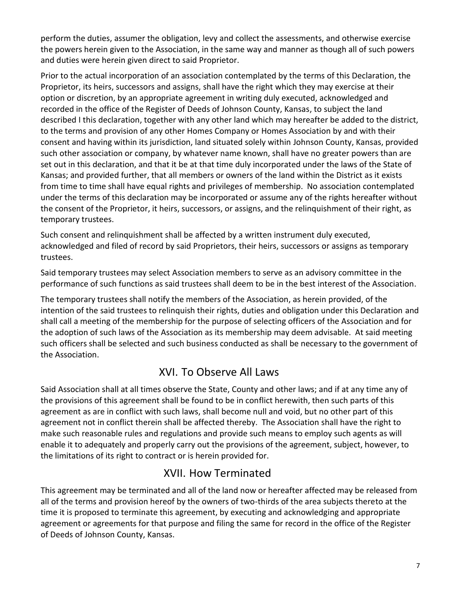perform the duties, assumer the obligation, levy and collect the assessments, and otherwise exercise the powers herein given to the Association, in the same way and manner as though all of such powers and duties were herein given direct to said Proprietor.

Prior to the actual incorporation of an association contemplated by the terms of this Declaration, the Proprietor, its heirs, successors and assigns, shall have the right which they may exercise at their option or discretion, by an appropriate agreement in writing duly executed, acknowledged and recorded in the office of the Register of Deeds of Johnson County, Kansas, to subject the land described I this declaration, together with any other land which may hereafter be added to the district, to the terms and provision of any other Homes Company or Homes Association by and with their consent and having within its jurisdiction, land situated solely within Johnson County, Kansas, provided such other association or company, by whatever name known, shall have no greater powers than are set out in this declaration, and that it be at that time duly incorporated under the laws of the State of Kansas; and provided further, that all members or owners of the land within the District as it exists from time to time shall have equal rights and privileges of membership. No association contemplated under the terms of this declaration may be incorporated or assume any of the rights hereafter without the consent of the Proprietor, it heirs, successors, or assigns, and the relinquishment of their right, as temporary trustees.

Such consent and relinquishment shall be affected by a written instrument duly executed, acknowledged and filed of record by said Proprietors, their heirs, successors or assigns as temporary trustees.

Said temporary trustees may select Association members to serve as an advisory committee in the performance of such functions as said trustees shall deem to be in the best interest of the Association.

The temporary trustees shall notify the members of the Association, as herein provided, of the intention of the said trustees to relinquish their rights, duties and obligation under this Declaration and shall call a meeting of the membership for the purpose of selecting officers of the Association and for the adoption of such laws of the Association as its membership may deem advisable. At said meeting such officers shall be selected and such business conducted as shall be necessary to the government of the Association.

#### XVI. To Observe All Laws

<span id="page-6-0"></span>Said Association shall at all times observe the State, County and other laws; and if at any time any of the provisions of this agreement shall be found to be in conflict herewith, then such parts of this agreement as are in conflict with such laws, shall become null and void, but no other part of this agreement not in conflict therein shall be affected thereby. The Association shall have the right to make such reasonable rules and regulations and provide such means to employ such agents as will enable it to adequately and properly carry out the provisions of the agreement, subject, however, to the limitations of its right to contract or is herein provided for.

#### XVII. How Terminated

<span id="page-6-1"></span>This agreement may be terminated and all of the land now or hereafter affected may be released from all of the terms and provision hereof by the owners of two-thirds of the area subjects thereto at the time it is proposed to terminate this agreement, by executing and acknowledging and appropriate agreement or agreements for that purpose and filing the same for record in the office of the Register of Deeds of Johnson County, Kansas.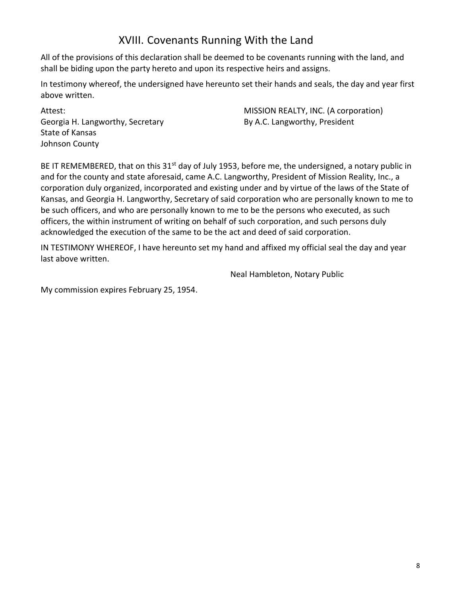#### XVIII. Covenants Running With the Land

<span id="page-7-0"></span>All of the provisions of this declaration shall be deemed to be covenants running with the land, and shall be biding upon the party hereto and upon its respective heirs and assigns.

In testimony whereof, the undersigned have hereunto set their hands and seals, the day and year first above written.

Attest: Georgia H. Langworthy, Secretary State of Kansas Johnson County

MISSION REALTY, INC. (A corporation) By A.C. Langworthy, President

BE IT REMEMBERED, that on this 31<sup>st</sup> day of July 1953, before me, the undersigned, a notary public in and for the county and state aforesaid, came A.C. Langworthy, President of Mission Reality, Inc., a corporation duly organized, incorporated and existing under and by virtue of the laws of the State of Kansas, and Georgia H. Langworthy, Secretary of said corporation who are personally known to me to be such officers, and who are personally known to me to be the persons who executed, as such officers, the within instrument of writing on behalf of such corporation, and such persons duly acknowledged the execution of the same to be the act and deed of said corporation.

IN TESTIMONY WHEREOF, I have hereunto set my hand and affixed my official seal the day and year last above written.

Neal Hambleton, Notary Public

My commission expires February 25, 1954.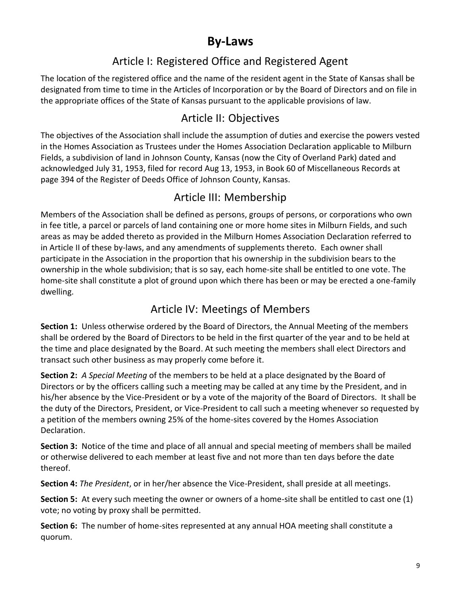## **By-Laws**

### Article I: Registered Office and Registered Agent

<span id="page-8-1"></span><span id="page-8-0"></span>The location of the registered office and the name of the resident agent in the State of Kansas shall be designated from time to time in the Articles of Incorporation or by the Board of Directors and on file in the appropriate offices of the State of Kansas pursuant to the applicable provisions of law.

#### Article II: Objectives

<span id="page-8-2"></span>The objectives of the Association shall include the assumption of duties and exercise the powers vested in the Homes Association as Trustees under the Homes Association Declaration applicable to Milburn Fields, a subdivision of land in Johnson County, Kansas (now the City of Overland Park) dated and acknowledged July 31, 1953, filed for record Aug 13, 1953, in Book 60 of Miscellaneous Records at page 394 of the Register of Deeds Office of Johnson County, Kansas.

#### Article III: Membership

<span id="page-8-3"></span>Members of the Association shall be defined as persons, groups of persons, or corporations who own in fee title, a parcel or parcels of land containing one or more home sites in Milburn Fields, and such areas as may be added thereto as provided in the Milburn Homes Association Declaration referred to in Article II of these by-laws, and any amendments of supplements thereto. Each owner shall participate in the Association in the proportion that his ownership in the subdivision bears to the ownership in the whole subdivision; that is so say, each home-site shall be entitled to one vote. The home-site shall constitute a plot of ground upon which there has been or may be erected a one-family dwelling.

### Article IV: Meetings of Members

<span id="page-8-4"></span>**Section 1:** Unless otherwise ordered by the Board of Directors, the Annual Meeting of the members shall be ordered by the Board of Directors to be held in the first quarter of the year and to be held at the time and place designated by the Board. At such meeting the members shall elect Directors and transact such other business as may properly come before it.

**Section 2:** *A Special Meeting* of the members to be held at a place designated by the Board of Directors or by the officers calling such a meeting may be called at any time by the President, and in his/her absence by the Vice-President or by a vote of the majority of the Board of Directors. It shall be the duty of the Directors, President, or Vice-President to call such a meeting whenever so requested by a petition of the members owning 25% of the home-sites covered by the Homes Association Declaration.

**Section 3:** Notice of the time and place of all annual and special meeting of members shall be mailed or otherwise delivered to each member at least five and not more than ten days before the date thereof.

**Section 4:** *The President*, or in her/her absence the Vice-President, shall preside at all meetings.

**Section 5:** At every such meeting the owner or owners of a home-site shall be entitled to cast one (1) vote; no voting by proxy shall be permitted.

**Section 6:** The number of home-sites represented at any annual HOA meeting shall constitute a quorum.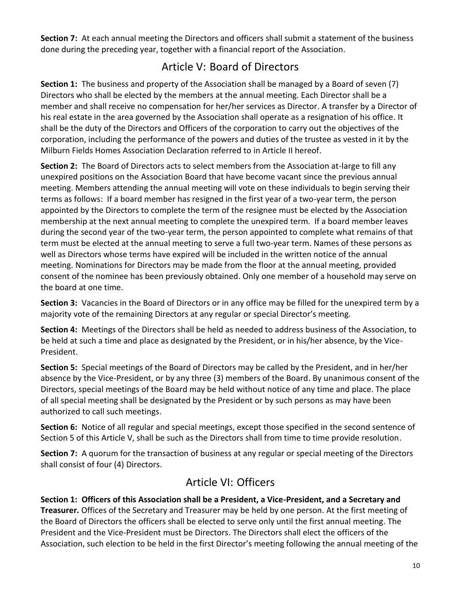**Section 7:** At each annual meeting the Directors and officers shall submit a statement of the business done during the preceding year, together with a financial report of the Association.

### Article V: Board of Directors

<span id="page-9-0"></span>**Section 1:** The business and property of the Association shall be managed by a Board of seven (7) Directors who shall be elected by the members at the annual meeting. Each Director shall be a member and shall receive no compensation for her/her services as Director. A transfer by a Director of his real estate in the area governed by the Association shall operate as a resignation of his office. It shall be the duty of the Directors and Officers of the corporation to carry out the objectives of the corporation, including the performance of the powers and duties of the trustee as vested in it by the Milburn Fields Homes Association Declaration referred to in Article II hereof.

**Section 2:** The Board of Directors acts to select members from the Association at-large to fill any unexpired positions on the Association Board that have become vacant since the previous annual meeting. Members attending the annual meeting will vote on these individuals to begin serving their terms as follows: If a board member has resigned in the first year of a two-year term, the person appointed by the Directors to complete the term of the resignee must be elected by the Association membership at the next annual meeting to complete the unexpired term. If a board member leaves during the second year of the two-year term, the person appointed to complete what remains of that term must be elected at the annual meeting to serve a full two-year term. Names of these persons as well as Directors whose terms have expired will be included in the written notice of the annual meeting. Nominations for Directors may be made from the floor at the annual meeting, provided consent of the nominee has been previously obtained. Only one member of a household may serve on the board at one time.

**Section 3:** Vacancies in the Board of Directors or in any office may be filled for the unexpired term by a majority vote of the remaining Directors at any regular or special Director's meeting.

**Section 4:** Meetings of the Directors shall be held as needed to address business of the Association, to be held at such a time and place as designated by the President, or in his/her absence, by the Vice-President.

**Section 5:** Special meetings of the Board of Directors may be called by the President, and in her/her absence by the Vice-President, or by any three (3) members of the Board. By unanimous consent of the Directors, special meetings of the Board may be held without notice of any time and place. The place of all special meeting shall be designated by the President or by such persons as may have been authorized to call such meetings.

**Section 6:** Notice of all regular and special meetings, except those specified in the second sentence of Section 5 of this Article V, shall be such as the Directors shall from time to time provide resolution.

**Section 7:** A quorum for the transaction of business at any regular or special meeting of the Directors shall consist of four (4) Directors.

#### Article VI: Officers

<span id="page-9-1"></span>**Section 1: Officers of this Association shall be a President, a Vice-President, and a Secretary and Treasurer.** Offices of the Secretary and Treasurer may be held by one person. At the first meeting of the Board of Directors the officers shall be elected to serve only until the first annual meeting. The President and the Vice-President must be Directors. The Directors shall elect the officers of the Association, such election to be held in the first Director's meeting following the annual meeting of the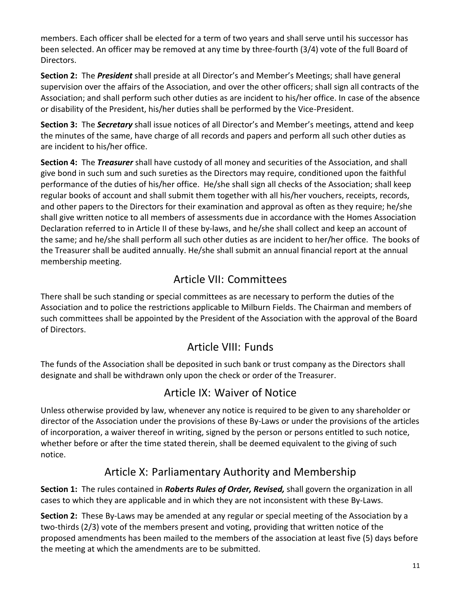members. Each officer shall be elected for a term of two years and shall serve until his successor has been selected. An officer may be removed at any time by three-fourth (3/4) vote of the full Board of Directors.

**Section 2:** The *President* shall preside at all Director's and Member's Meetings; shall have general supervision over the affairs of the Association, and over the other officers; shall sign all contracts of the Association; and shall perform such other duties as are incident to his/her office. In case of the absence or disability of the President, his/her duties shall be performed by the Vice-President.

**Section 3:** The *Secretary* shall issue notices of all Director's and Member's meetings, attend and keep the minutes of the same, have charge of all records and papers and perform all such other duties as are incident to his/her office.

**Section 4:** The *Treasurer* shall have custody of all money and securities of the Association, and shall give bond in such sum and such sureties as the Directors may require, conditioned upon the faithful performance of the duties of his/her office. He/she shall sign all checks of the Association; shall keep regular books of account and shall submit them together with all his/her vouchers, receipts, records, and other papers to the Directors for their examination and approval as often as they require; he/she shall give written notice to all members of assessments due in accordance with the Homes Association Declaration referred to in Article II of these by-laws, and he/she shall collect and keep an account of the same; and he/she shall perform all such other duties as are incident to her/her office. The books of the Treasurer shall be audited annually. He/she shall submit an annual financial report at the annual membership meeting.

### Article VII: Committees

<span id="page-10-0"></span>There shall be such standing or special committees as are necessary to perform the duties of the Association and to police the restrictions applicable to Milburn Fields. The Chairman and members of such committees shall be appointed by the President of the Association with the approval of the Board of Directors.

### Article VIII: Funds

<span id="page-10-1"></span>The funds of the Association shall be deposited in such bank or trust company as the Directors shall designate and shall be withdrawn only upon the check or order of the Treasurer.

### Article IX: Waiver of Notice

<span id="page-10-2"></span>Unless otherwise provided by law, whenever any notice is required to be given to any shareholder or director of the Association under the provisions of these By-Laws or under the provisions of the articles of incorporation, a waiver thereof in writing, signed by the person or persons entitled to such notice, whether before or after the time stated therein, shall be deemed equivalent to the giving of such notice.

### Article X: Parliamentary Authority and Membership

<span id="page-10-3"></span>**Section 1:** The rules contained in *Roberts Rules of Order, Revised,* shall govern the organization in all cases to which they are applicable and in which they are not inconsistent with these By-Laws.

**Section 2:** These By-Laws may be amended at any regular or special meeting of the Association by a two-thirds (2/3) vote of the members present and voting, providing that written notice of the proposed amendments has been mailed to the members of the association at least five (5) days before the meeting at which the amendments are to be submitted.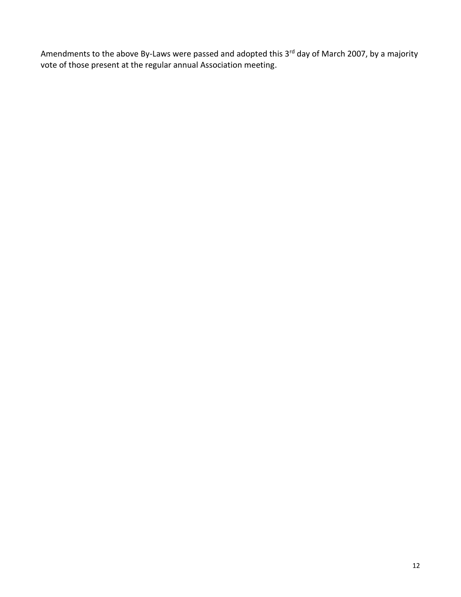Amendments to the above By-Laws were passed and adopted this 3<sup>rd</sup> day of March 2007, by a majority vote of those present at the regular annual Association meeting.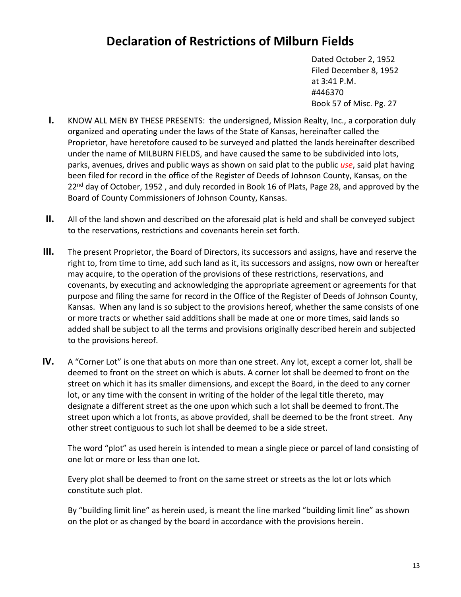## <span id="page-12-0"></span>**Declaration of Restrictions of Milburn Fields**

Dated October 2, 1952 Filed December 8, 1952 at 3:41 P.M. #446370 Book 57 of Misc. Pg. 27

- **I.** KNOW ALL MEN BY THESE PRESENTS: the undersigned, Mission Realty, Inc., a corporation duly organized and operating under the laws of the State of Kansas, hereinafter called the Proprietor, have heretofore caused to be surveyed and platted the lands hereinafter described under the name of MILBURN FIELDS, and have caused the same to be subdivided into lots, parks, avenues, drives and public ways as shown on said plat to the public *use*, said plat having been filed for record in the office of the Register of Deeds of Johnson County, Kansas, on the 22<sup>nd</sup> day of October, 1952, and duly recorded in Book 16 of Plats, Page 28, and approved by the Board of County Commissioners of Johnson County, Kansas.
- **II.** All of the land shown and described on the aforesaid plat is held and shall be conveyed subject to the reservations, restrictions and covenants herein set forth.
- **III.** The present Proprietor, the Board of Directors, its successors and assigns, have and reserve the right to, from time to time, add such land as it, its successors and assigns, now own or hereafter may acquire, to the operation of the provisions of these restrictions, reservations, and covenants, by executing and acknowledging the appropriate agreement or agreements for that purpose and filing the same for record in the Office of the Register of Deeds of Johnson County, Kansas. When any land is so subject to the provisions hereof, whether the same consists of one or more tracts or whether said additions shall be made at one or more times, said lands so added shall be subject to all the terms and provisions originally described herein and subjected to the provisions hereof.
- **IV.** A "Corner Lot" is one that abuts on more than one street. Any lot, except a corner lot, shall be deemed to front on the street on which is abuts. A corner lot shall be deemed to front on the street on which it has its smaller dimensions, and except the Board, in the deed to any corner lot, or any time with the consent in writing of the holder of the legal title thereto, may designate a different street as the one upon which such a lot shall be deemed to front.The street upon which a lot fronts, as above provided, shall be deemed to be the front street. Any other street contiguous to such lot shall be deemed to be a side street.

The word "plot" as used herein is intended to mean a single piece or parcel of land consisting of one lot or more or less than one lot.

Every plot shall be deemed to front on the same street or streets as the lot or lots which constitute such plot.

By "building limit line" as herein used, is meant the line marked "building limit line" as shown on the plot or as changed by the board in accordance with the provisions herein.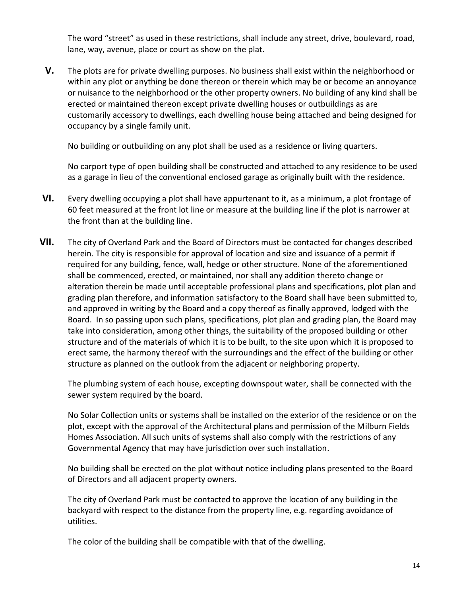The word "street" as used in these restrictions, shall include any street, drive, boulevard, road, lane, way, avenue, place or court as show on the plat.

**V.** The plots are for private dwelling purposes. No business shall exist within the neighborhood or within any plot or anything be done thereon or therein which may be or become an annoyance or nuisance to the neighborhood or the other property owners. No building of any kind shall be erected or maintained thereon except private dwelling houses or outbuildings as are customarily accessory to dwellings, each dwelling house being attached and being designed for occupancy by a single family unit.

No building or outbuilding on any plot shall be used as a residence or living quarters.

No carport type of open building shall be constructed and attached to any residence to be used as a garage in lieu of the conventional enclosed garage as originally built with the residence.

- **VI.** Every dwelling occupying a plot shall have appurtenant to it, as a minimum, a plot frontage of 60 feet measured at the front lot line or measure at the building line if the plot is narrower at the front than at the building line.
- **VII.** The city of Overland Park and the Board of Directors must be contacted for changes described herein. The city is responsible for approval of location and size and issuance of a permit if required for any building, fence, wall, hedge or other structure. None of the aforementioned shall be commenced, erected, or maintained, nor shall any addition thereto change or alteration therein be made until acceptable professional plans and specifications, plot plan and grading plan therefore, and information satisfactory to the Board shall have been submitted to, and approved in writing by the Board and a copy thereof as finally approved, lodged with the Board. In so passing upon such plans, specifications, plot plan and grading plan, the Board may take into consideration, among other things, the suitability of the proposed building or other structure and of the materials of which it is to be built, to the site upon which it is proposed to erect same, the harmony thereof with the surroundings and the effect of the building or other structure as planned on the outlook from the adjacent or neighboring property.

The plumbing system of each house, excepting downspout water, shall be connected with the sewer system required by the board.

No Solar Collection units or systems shall be installed on the exterior of the residence or on the plot, except with the approval of the Architectural plans and permission of the Milburn Fields Homes Association. All such units of systems shall also comply with the restrictions of any Governmental Agency that may have jurisdiction over such installation.

No building shall be erected on the plot without notice including plans presented to the Board of Directors and all adjacent property owners.

The city of Overland Park must be contacted to approve the location of any building in the backyard with respect to the distance from the property line, e.g. regarding avoidance of utilities.

The color of the building shall be compatible with that of the dwelling.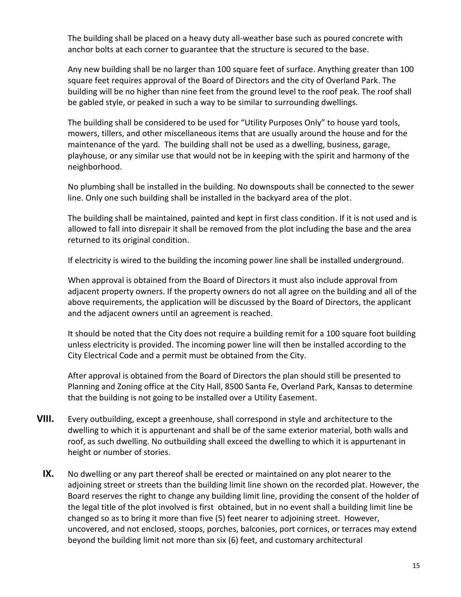The building shall be placed on a heavy duty all-weather base such as poured concrete with anchor bolts at each corner to guarantee that the structure is secured to the base.

Any new building shall be no larger than 100 square feet of surface. Anything greater than 100 square feet requires approval of the Board of Directors and the city of Overland Park. The building will be no higher than nine feet from the ground level to the roof peak. The roof shall be gabled style, or peaked in such a way to be similar to surrounding dwellings.

The building shall be considered to be used for "Utility Purposes Only" to house yard tools, mowers, tillers, and other miscellaneous items that are usually around the house and for the maintenance of the yard. The building shall not be used as a dwelling, business, garage, playhouse, or any similar use that would not be in keeping with the spirit and harmony of the neighborhood.

No plumbing shall be installed in the building. No downspouts shall be connected to the sewer line. Only one such building shall be installed in the backyard area of the plot.

The building shall be maintained, painted and kept in first class condition. If it is not used and is allowed to fall into disrepair it shall be removed from the plot including the base and the area returned to its original condition.

If electricity is wired to the building the incoming power line shall be installed underground.

When approval is obtained from the Board of Directors it must also include approval from adjacent property owners. If the property owners do not all agree on the building and all of the above requirements, the application will be discussed by the Board of Directors, the applicant and the adjacent owners until an agreement is reached.

It should be noted that the City does not require a building remit for a 100 square foot building unless electricity is provided. The incoming power line will then be installed according to the City Electrical Code and a permit must be obtained from the City.

After approval is obtained from the Board of Directors the plan should still be presented to Planning and Zoning office at the City Hall, 8500 Santa Fe, Overland Park, Kansas to determine that the building is not going to be installed over a Utility Easement.

- **VIII.** Every outbuilding, except a greenhouse, shall correspond in style and architecture to the dwelling to which it is appurtenant and shall be of the same exterior material, both walls and roof, as such dwelling. No outbuilding shall exceed the dwelling to which it is appurtenant in height or number of stories.
	- **IX.** No dwelling or any part thereof shall be erected or maintained on any plot nearer to the adjoining street or streets than the building limit line shown on the recorded plat. However, the Board reserves the right to change any building limit line, providing the consent of the holder of the legal title of the plot involved is first obtained, but in no event shall a building limit line be changed so as to bring it more than five (5) feet nearer to adjoining street. However, uncovered, and not enclosed, stoops, porches, balconies, port cornices, or terraces may extend beyond the building limit not more than six (6) feet, and customary architectural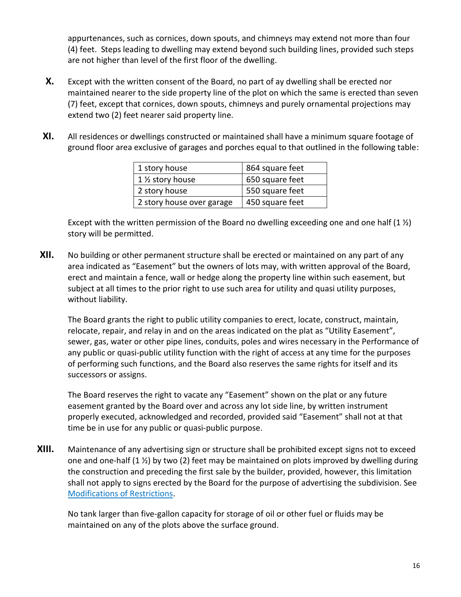appurtenances, such as cornices, down spouts, and chimneys may extend not more than four (4) feet. Steps leading to dwelling may extend beyond such building lines, provided such steps are not higher than level of the first floor of the dwelling.

- **X.** Except with the written consent of the Board, no part of ay dwelling shall be erected nor maintained nearer to the side property line of the plot on which the same is erected than seven (7) feet, except that cornices, down spouts, chimneys and purely ornamental projections may extend two (2) feet nearer said property line.
- **XI.** All residences or dwellings constructed or maintained shall have a minimum square footage of ground floor area exclusive of garages and porches equal to that outlined in the following table:

| 1 story house             | 864 square feet |  |
|---------------------------|-----------------|--|
| 1 1/2 story house         | 650 square feet |  |
| 2 story house             | 550 square feet |  |
| 2 story house over garage | 450 square feet |  |

Except with the written permission of the Board no dwelling exceeding one and one half  $(1 \frac{1}{2})$ story will be permitted.

**XII.** No building or other permanent structure shall be erected or maintained on any part of any area indicated as "Easement" but the owners of lots may, with written approval of the Board, erect and maintain a fence, wall or hedge along the property line within such easement, but subject at all times to the prior right to use such area for utility and quasi utility purposes, without liability.

The Board grants the right to public utility companies to erect, locate, construct, maintain, relocate, repair, and relay in and on the areas indicated on the plat as "Utility Easement", sewer, gas, water or other pipe lines, conduits, poles and wires necessary in the Performance of any public or quasi-public utility function with the right of access at any time for the purposes of performing such functions, and the Board also reserves the same rights for itself and its successors or assigns.

The Board reserves the right to vacate any "Easement" shown on the plat or any future easement granted by the Board over and across any lot side line, by written instrument properly executed, acknowledged and recorded, provided said "Easement" shall not at that time be in use for any public or quasi-public purpose.

**XIII.** Maintenance of any advertising sign or structure shall be prohibited except signs not to exceed one and one-half  $(1 \frac{1}{2})$  by two (2) feet may be maintained on plots improved by dwelling during the construction and preceding the first sale by the builder, provided, however, this limitation shall not apply to signs erected by the Board for the purpose of advertising the subdivision. See [Modifications of Restrictions.](#page-18-0)

No tank larger than five-gallon capacity for storage of oil or other fuel or fluids may be maintained on any of the plots above the surface ground.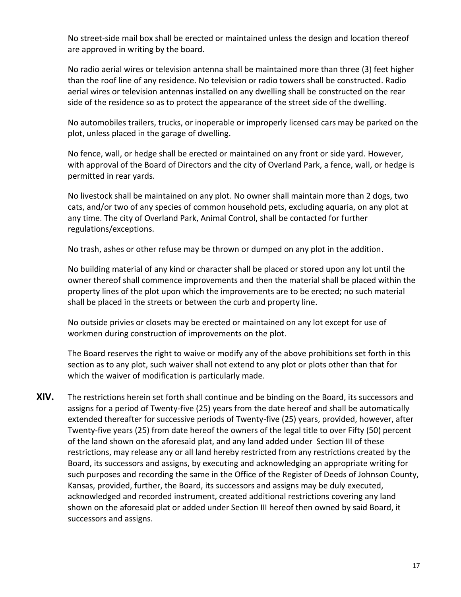No street-side mail box shall be erected or maintained unless the design and location thereof are approved in writing by the board.

No radio aerial wires or television antenna shall be maintained more than three (3) feet higher than the roof line of any residence. No television or radio towers shall be constructed. Radio aerial wires or television antennas installed on any dwelling shall be constructed on the rear side of the residence so as to protect the appearance of the street side of the dwelling.

No automobiles trailers, trucks, or inoperable or improperly licensed cars may be parked on the plot, unless placed in the garage of dwelling.

No fence, wall, or hedge shall be erected or maintained on any front or side yard. However, with approval of the Board of Directors and the city of Overland Park, a fence, wall, or hedge is permitted in rear yards.

No livestock shall be maintained on any plot. No owner shall maintain more than 2 dogs, two cats, and/or two of any species of common household pets, excluding aquaria, on any plot at any time. The city of Overland Park, Animal Control, shall be contacted for further regulations/exceptions.

No trash, ashes or other refuse may be thrown or dumped on any plot in the addition.

No building material of any kind or character shall be placed or stored upon any lot until the owner thereof shall commence improvements and then the material shall be placed within the property lines of the plot upon which the improvements are to be erected; no such material shall be placed in the streets or between the curb and property line.

No outside privies or closets may be erected or maintained on any lot except for use of workmen during construction of improvements on the plot.

The Board reserves the right to waive or modify any of the above prohibitions set forth in this section as to any plot, such waiver shall not extend to any plot or plots other than that for which the waiver of modification is particularly made.

**XIV.** The restrictions herein set forth shall continue and be binding on the Board, its successors and assigns for a period of Twenty-five (25) years from the date hereof and shall be automatically extended thereafter for successive periods of Twenty-five (25) years, provided, however, after Twenty-five years (25) from date hereof the owners of the legal title to over Fifty (50) percent of the land shown on the aforesaid plat, and any land added under Section III of these restrictions, may release any or all land hereby restricted from any restrictions created by the Board, its successors and assigns, by executing and acknowledging an appropriate writing for such purposes and recording the same in the Office of the Register of Deeds of Johnson County, Kansas, provided, further, the Board, its successors and assigns may be duly executed, acknowledged and recorded instrument, created additional restrictions covering any land shown on the aforesaid plat or added under Section III hereof then owned by said Board, it successors and assigns.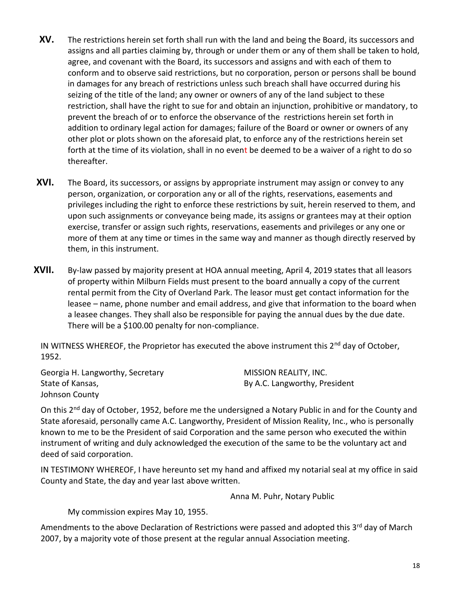- **XV.** The restrictions herein set forth shall run with the land and being the Board, its successors and assigns and all parties claiming by, through or under them or any of them shall be taken to hold, agree, and covenant with the Board, its successors and assigns and with each of them to conform and to observe said restrictions, but no corporation, person or persons shall be bound in damages for any breach of restrictions unless such breach shall have occurred during his seizing of the title of the land; any owner or owners of any of the land subject to these restriction, shall have the right to sue for and obtain an injunction, prohibitive or mandatory, to prevent the breach of or to enforce the observance of the restrictions herein set forth in addition to ordinary legal action for damages; failure of the Board or owner or owners of any other plot or plots shown on the aforesaid plat, to enforce any of the restrictions herein set forth at the time of its violation, shall in no event be deemed to be a waiver of a right to do so thereafter.
- **XVI.** The Board, its successors, or assigns by appropriate instrument may assign or convey to any person, organization, or corporation any or all of the rights, reservations, easements and privileges including the right to enforce these restrictions by suit, herein reserved to them, and upon such assignments or conveyance being made, its assigns or grantees may at their option exercise, transfer or assign such rights, reservations, easements and privileges or any one or more of them at any time or times in the same way and manner as though directly reserved by them, in this instrument.
- **XVII.** By-law passed by majority present at HOA annual meeting, April 4, 2019 states that all leasors of property within Milburn Fields must present to the board annually a copy of the current rental permit from the City of Overland Park. The leasor must get contact information for the leasee – name, phone number and email address, and give that information to the board when a leasee changes. They shall also be responsible for paying the annual dues by the due date. There will be a \$100.00 penalty for non-compliance.

IN WITNESS WHEREOF, the Proprietor has executed the above instrument this 2<sup>nd</sup> day of October, 1952.

Georgia H. Langworthy, Secretary State of Kansas, Johnson County MISSION REALITY, INC. By A.C. Langworthy, President

On this 2<sup>nd</sup> day of October, 1952, before me the undersigned a Notary Public in and for the County and State aforesaid, personally came A.C. Langworthy, President of Mission Reality, Inc., who is personally known to me to be the President of said Corporation and the same person who executed the within instrument of writing and duly acknowledged the execution of the same to be the voluntary act and deed of said corporation.

IN TESTIMONY WHEREOF, I have hereunto set my hand and affixed my notarial seal at my office in said County and State, the day and year last above written.

Anna M. Puhr, Notary Public

My commission expires May 10, 1955.

Amendments to the above Declaration of Restrictions were passed and adopted this  $3<sup>rd</sup>$  day of March 2007, by a majority vote of those present at the regular annual Association meeting.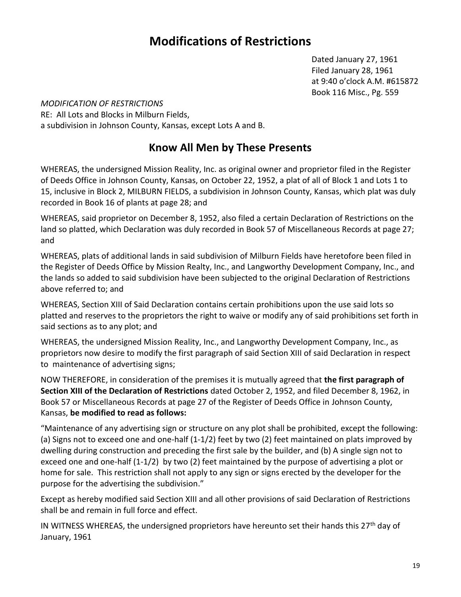## **Modifications of Restrictions**

Dated January 27, 1961 Filed January 28, 1961 at 9:40 o'clock A.M. #615872 Book 116 Misc., Pg. 559

<span id="page-18-0"></span>*MODIFICATION OF RESTRICTIONS* RE: All Lots and Blocks in Milburn Fields, a subdivision in Johnson County, Kansas, except Lots A and B.

#### **Know All Men by These Presents**

WHEREAS, the undersigned Mission Reality, Inc. as original owner and proprietor filed in the Register of Deeds Office in Johnson County, Kansas, on October 22, 1952, a plat of all of Block 1 and Lots 1 to 15, inclusive in Block 2, MILBURN FIELDS, a subdivision in Johnson County, Kansas, which plat was duly recorded in Book 16 of plants at page 28; and

WHEREAS, said proprietor on December 8, 1952, also filed a certain Declaration of Restrictions on the land so platted, which Declaration was duly recorded in Book 57 of Miscellaneous Records at page 27; and

WHEREAS, plats of additional lands in said subdivision of Milburn Fields have heretofore been filed in the Register of Deeds Office by Mission Realty, Inc., and Langworthy Development Company, Inc., and the lands so added to said subdivision have been subjected to the original Declaration of Restrictions above referred to; and

WHEREAS, Section XIII of Said Declaration contains certain prohibitions upon the use said lots so platted and reserves to the proprietors the right to waive or modify any of said prohibitions set forth in said sections as to any plot; and

WHEREAS, the undersigned Mission Reality, Inc., and Langworthy Development Company, Inc., as proprietors now desire to modify the first paragraph of said Section XIII of said Declaration in respect to maintenance of advertising signs;

NOW THEREFORE, in consideration of the premises it is mutually agreed that **the first paragraph of Section XIII of the Declaration of Restrictions** dated October 2, 1952, and filed December 8, 1962, in Book 57 or Miscellaneous Records at page 27 of the Register of Deeds Office in Johnson County, Kansas, **be modified to read as follows:**

"Maintenance of any advertising sign or structure on any plot shall be prohibited, except the following: (a) Signs not to exceed one and one-half (1-1/2) feet by two (2) feet maintained on plats improved by dwelling during construction and preceding the first sale by the builder, and (b) A single sign not to exceed one and one-half (1-1/2) by two (2) feet maintained by the purpose of advertising a plot or home for sale. This restriction shall not apply to any sign or signs erected by the developer for the purpose for the advertising the subdivision."

Except as hereby modified said Section XIII and all other provisions of said Declaration of Restrictions shall be and remain in full force and effect.

IN WITNESS WHEREAS, the undersigned proprietors have hereunto set their hands this  $27<sup>th</sup>$  day of January, 1961